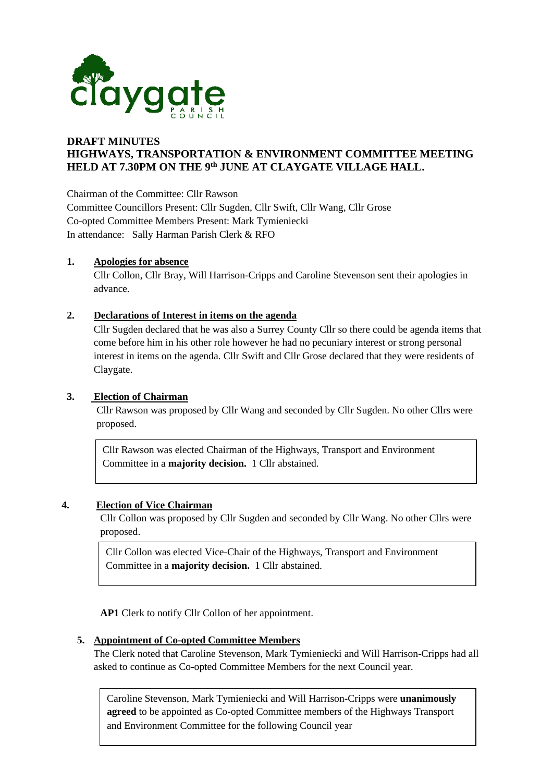

# **DRAFT MINUTES HIGHWAYS, TRANSPORTATION & ENVIRONMENT COMMITTEE MEETING HELD AT 7.30PM ON THE 9 th JUNE AT CLAYGATE VILLAGE HALL.**

Chairman of the Committee: Cllr Rawson Committee Councillors Present: Cllr Sugden, Cllr Swift, Cllr Wang, Cllr Grose Co-opted Committee Members Present: Mark Tymieniecki In attendance: Sally Harman Parish Clerk & RFO

#### **1. Apologies for absence**

Cllr Collon, Cllr Bray, Will Harrison-Cripps and Caroline Stevenson sent their apologies in advance.

#### **2. Declarations of Interest in items on the agenda**

Cllr Sugden declared that he was also a Surrey County Cllr so there could be agenda items that come before him in his other role however he had no pecuniary interest or strong personal interest in items on the agenda. Cllr Swift and Cllr Grose declared that they were residents of Claygate.

#### **3. Election of Chairman**

Cllr Rawson was proposed by Cllr Wang and seconded by Cllr Sugden. No other Cllrs were proposed.

Cllr Rawson was elected Chairman of the Highways, Transport and Environment Committee in a **majority decision.** 1 Cllr abstained.

#### **4. Election of Vice Chairman**

Cllr Collon was proposed by Cllr Sugden and seconded by Cllr Wang. No other Cllrs were proposed.

Cllr Collon was elected Vice-Chair of the Highways, Transport and Environment Committee in a **majority decision.** 1 Cllr abstained.

**AP1** Clerk to notify Cllr Collon of her appointment.

#### **5. Appointment of Co-opted Committee Members**

The Clerk noted that Caroline Stevenson, Mark Tymieniecki and Will Harrison-Cripps had all asked to continue as Co-opted Committee Members for the next Council year.

Caroline Stevenson, Mark Tymieniecki and Will Harrison-Cripps were **unanimously agreed** to be appointed as Co-opted Committee members of the Highways Transport and Environment Committee for the following Council year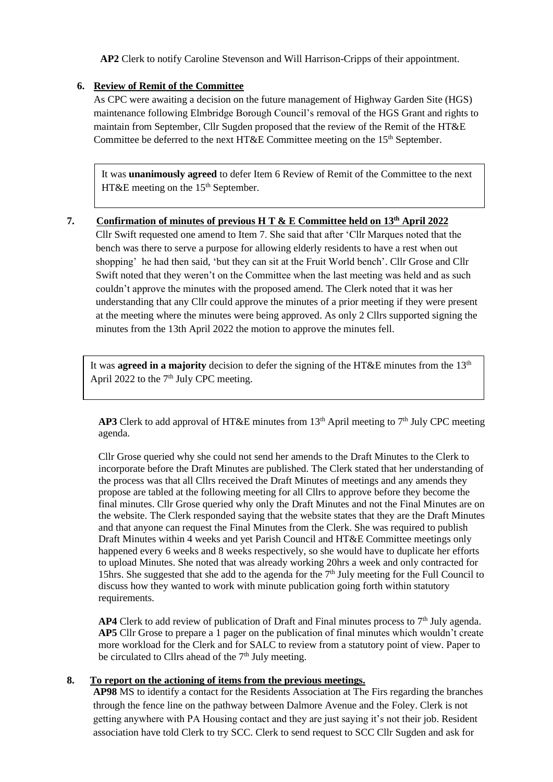**AP2** Clerk to notify Caroline Stevenson and Will Harrison-Cripps of their appointment.

# **6. Review of Remit of the Committee**

As CPC were awaiting a decision on the future management of Highway Garden Site (HGS) maintenance following Elmbridge Borough Council's removal of the HGS Grant and rights to maintain from September, Cllr Sugden proposed that the review of the Remit of the HT&E Committee be deferred to the next HT&E Committee meeting on the  $15<sup>th</sup>$  September.

It was **unanimously agreed** to defer Item 6 Review of Remit of the Committee to the next HT&E meeting on the  $15<sup>th</sup>$  September.

# **7. Confirmation of minutes of previous H T & E Committee held on 13th April 2022**

Cllr Swift requested one amend to Item 7. She said that after 'Cllr Marques noted that the bench was there to serve a purpose for allowing elderly residents to have a rest when out shopping' he had then said, 'but they can sit at the Fruit World bench'. Cllr Grose and Cllr Swift noted that they weren't on the Committee when the last meeting was held and as such couldn't approve the minutes with the proposed amend. The Clerk noted that it was her understanding that any Cllr could approve the minutes of a prior meeting if they were present at the meeting where the minutes were being approved. As only 2 Cllrs supported signing the minutes from the 13th April 2022 the motion to approve the minutes fell.

It was **agreed in a majority** decision to defer the signing of the HT&E minutes from the 13<sup>th</sup> April 2022 to the  $7<sup>th</sup>$  July CPC meeting.

**AP3** Clerk to add approval of HT&E minutes from  $13<sup>th</sup>$  April meeting to  $7<sup>th</sup>$  July CPC meeting agenda.

Cllr Grose queried why she could not send her amends to the Draft Minutes to the Clerk to incorporate before the Draft Minutes are published. The Clerk stated that her understanding of the process was that all Cllrs received the Draft Minutes of meetings and any amends they propose are tabled at the following meeting for all Cllrs to approve before they become the final minutes. Cllr Grose queried why only the Draft Minutes and not the Final Minutes are on the website. The Clerk responded saying that the website states that they are the Draft Minutes and that anyone can request the Final Minutes from the Clerk. She was required to publish Draft Minutes within 4 weeks and yet Parish Council and HT&E Committee meetings only happened every 6 weeks and 8 weeks respectively, so she would have to duplicate her efforts to upload Minutes. She noted that was already working 20hrs a week and only contracted for 15hrs. She suggested that she add to the agenda for the  $7<sup>th</sup>$  July meeting for the Full Council to discuss how they wanted to work with minute publication going forth within statutory requirements.

**AP4** Clerk to add review of publication of Draft and Final minutes process to  $7<sup>th</sup>$  July agenda. **AP5** Cllr Grose to prepare a 1 pager on the publication of final minutes which wouldn't create more workload for the Clerk and for SALC to review from a statutory point of view. Paper to be circulated to Cllrs ahead of the  $7<sup>th</sup>$  July meeting.

## **8. To report on the actioning of items from the previous meetings.**

**AP98** MS to identify a contact for the Residents Association at The Firs regarding the branches through the fence line on the pathway between Dalmore Avenue and the Foley. Clerk is not getting anywhere with PA Housing contact and they are just saying it's not their job. Resident association have told Clerk to try SCC. Clerk to send request to SCC Cllr Sugden and ask for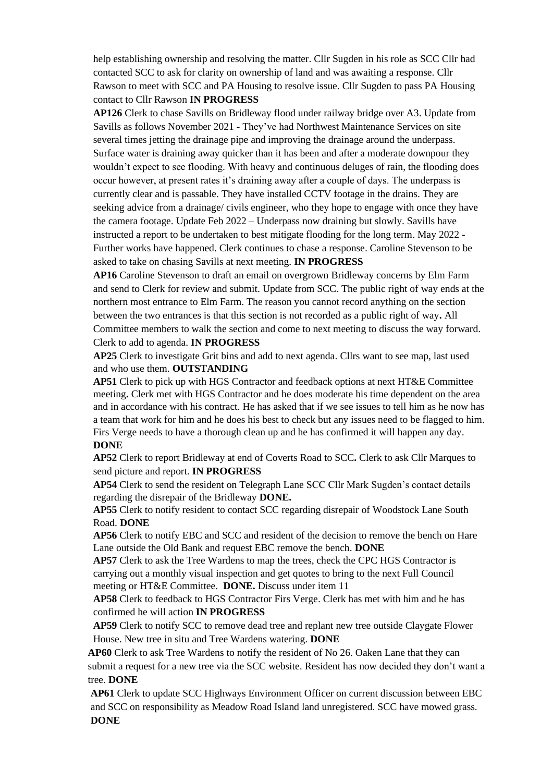help establishing ownership and resolving the matter. Cllr Sugden in his role as SCC Cllr had contacted SCC to ask for clarity on ownership of land and was awaiting a response. Cllr Rawson to meet with SCC and PA Housing to resolve issue. Cllr Sugden to pass PA Housing contact to Cllr Rawson **IN PROGRESS**

**AP126** Clerk to chase Savills on Bridleway flood under railway bridge over A3. Update from Savills as follows November 2021 - They've had Northwest Maintenance Services on site several times jetting the drainage pipe and improving the drainage around the underpass. Surface water is draining away quicker than it has been and after a moderate downpour they wouldn't expect to see flooding. With heavy and continuous deluges of rain, the flooding does occur however, at present rates it's draining away after a couple of days. The underpass is currently clear and is passable. They have installed CCTV footage in the drains. They are seeking advice from a drainage/ civils engineer, who they hope to engage with once they have the camera footage. Update Feb 2022 – Underpass now draining but slowly. Savills have instructed a report to be undertaken to best mitigate flooding for the long term. May 2022 - Further works have happened. Clerk continues to chase a response. Caroline Stevenson to be asked to take on chasing Savills at next meeting. **IN PROGRESS**

**AP16** Caroline Stevenson to draft an email on overgrown Bridleway concerns by Elm Farm and send to Clerk for review and submit. Update from SCC. The public right of way ends at the northern most entrance to Elm Farm. The reason you cannot record anything on the section between the two entrances is that this section is not recorded as a public right of way**.** All Committee members to walk the section and come to next meeting to discuss the way forward. Clerk to add to agenda. **IN PROGRESS**

**AP25** Clerk to investigate Grit bins and add to next agenda. Cllrs want to see map, last used and who use them. **OUTSTANDING**

**AP51** Clerk to pick up with HGS Contractor and feedback options at next HT&E Committee meeting**.** Clerk met with HGS Contractor and he does moderate his time dependent on the area and in accordance with his contract. He has asked that if we see issues to tell him as he now has a team that work for him and he does his best to check but any issues need to be flagged to him. Firs Verge needs to have a thorough clean up and he has confirmed it will happen any day. **DONE** 

**AP52** Clerk to report Bridleway at end of Coverts Road to SCC**.** Clerk to ask Cllr Marques to send picture and report. **IN PROGRESS**

**AP54** Clerk to send the resident on Telegraph Lane SCC Cllr Mark Sugden's contact details regarding the disrepair of the Bridleway **DONE.**

**AP55** Clerk to notify resident to contact SCC regarding disrepair of Woodstock Lane South Road. **DONE**

**AP56** Clerk to notify EBC and SCC and resident of the decision to remove the bench on Hare Lane outside the Old Bank and request EBC remove the bench. **DONE**

**AP57** Clerk to ask the Tree Wardens to map the trees, check the CPC HGS Contractor is carrying out a monthly visual inspection and get quotes to bring to the next Full Council meeting or HT&E Committee. **DONE.** Discuss under item 11

**AP58** Clerk to feedback to HGS Contractor Firs Verge. Clerk has met with him and he has confirmed he will action **IN PROGRESS**

**AP59** Clerk to notify SCC to remove dead tree and replant new tree outside Claygate Flower House. New tree in situ and Tree Wardens watering. **DONE**

**AP60** Clerk to ask Tree Wardens to notify the resident of No 26. Oaken Lane that they can submit a request for a new tree via the SCC website. Resident has now decided they don't want a tree. **DONE** 

**AP61** Clerk to update SCC Highways Environment Officer on current discussion between EBC and SCC on responsibility as Meadow Road Island land unregistered. SCC have mowed grass. **DONE**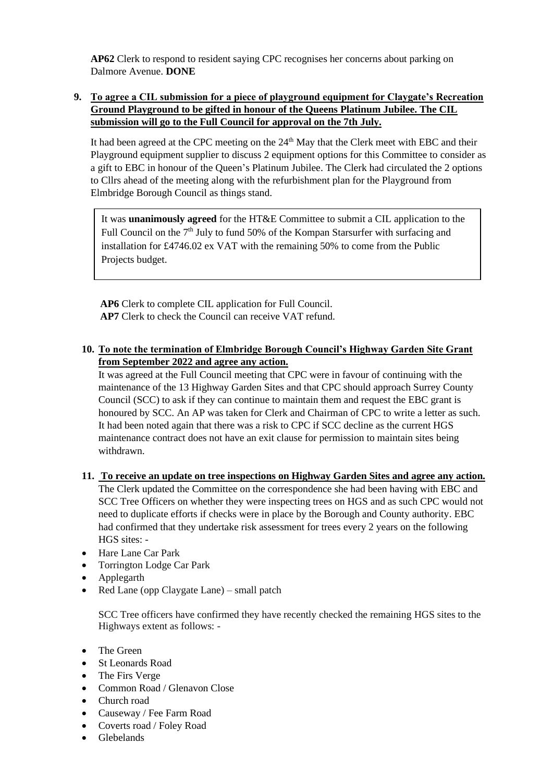**AP62** Clerk to respond to resident saying CPC recognises her concerns about parking on Dalmore Avenue. **DONE**

# **9. To agree a CIL submission for a piece of playground equipment for Claygate's Recreation Ground Playground to be gifted in honour of the Queens Platinum Jubilee. The CIL submission will go to the Full Council for approval on the 7th July.**

It had been agreed at the CPC meeting on the 24<sup>th</sup> May that the Clerk meet with EBC and their Playground equipment supplier to discuss 2 equipment options for this Committee to consider as a gift to EBC in honour of the Queen's Platinum Jubilee. The Clerk had circulated the 2 options to Cllrs ahead of the meeting along with the refurbishment plan for the Playground from Elmbridge Borough Council as things stand.

It was **unanimously agreed** for the HT&E Committee to submit a CIL application to the Full Council on the  $7<sup>th</sup>$  July to fund 50% of the Kompan Starsurfer with surfacing and installation for £4746.02 ex VAT with the remaining 50% to come from the Public Projects budget.

**AP6** Clerk to complete CIL application for Full Council. **AP7** Clerk to check the Council can receive VAT refund.

# **10. To note the termination of Elmbridge Borough Council's Highway Garden Site Grant from September 2022 and agree any action.**

It was agreed at the Full Council meeting that CPC were in favour of continuing with the maintenance of the 13 Highway Garden Sites and that CPC should approach Surrey County Council (SCC) to ask if they can continue to maintain them and request the EBC grant is honoured by SCC. An AP was taken for Clerk and Chairman of CPC to write a letter as such. It had been noted again that there was a risk to CPC if SCC decline as the current HGS maintenance contract does not have an exit clause for permission to maintain sites being withdrawn.

# **11. To receive an update on tree inspections on Highway Garden Sites and agree any action.**

The Clerk updated the Committee on the correspondence she had been having with EBC and SCC Tree Officers on whether they were inspecting trees on HGS and as such CPC would not need to duplicate efforts if checks were in place by the Borough and County authority. EBC had confirmed that they undertake risk assessment for trees every 2 years on the following HGS sites: -

- Hare Lane Car Park
- Torrington Lodge Car Park
- Applegarth
- Red Lane (opp Claygate Lane) small patch

SCC Tree officers have confirmed they have recently checked the remaining HGS sites to the Highways extent as follows: -

- The Green
- St Leonards Road
- The Firs Verge
- Common Road / Glenavon Close
- Church road
- Causeway / Fee Farm Road
- Coverts road / Foley Road
- Glebelands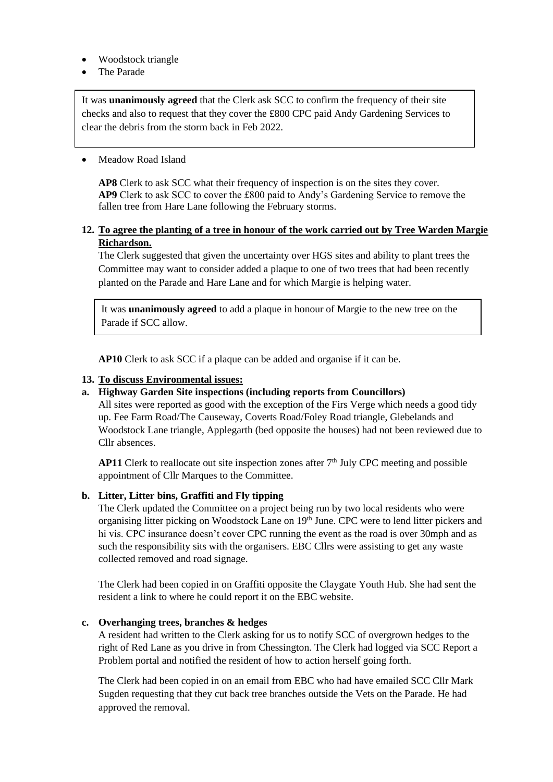- Woodstock triangle
- The Parade

It was **unanimously agreed** that the Clerk ask SCC to confirm the frequency of their site checks and also to request that they cover the £800 CPC paid Andy Gardening Services to clear the debris from the storm back in Feb 2022.

#### • Meadow Road Island

**AP8** Clerk to ask SCC what their frequency of inspection is on the sites they cover. **AP9** Clerk to ask SCC to cover the £800 paid to Andy's Gardening Service to remove the fallen tree from Hare Lane following the February storms.

### **12. To agree the planting of a tree in honour of the work carried out by Tree Warden Margie Richardson.**

The Clerk suggested that given the uncertainty over HGS sites and ability to plant trees the Committee may want to consider added a plaque to one of two trees that had been recently planted on the Parade and Hare Lane and for which Margie is helping water.

It was **unanimously agreed** to add a plaque in honour of Margie to the new tree on the Parade if SCC allow.

**AP10** Clerk to ask SCC if a plaque can be added and organise if it can be.

#### **13. To discuss Environmental issues:**

#### **a. Highway Garden Site inspections (including reports from Councillors)**

All sites were reported as good with the exception of the Firs Verge which needs a good tidy up. Fee Farm Road/The Causeway, Coverts Road/Foley Road triangle, Glebelands and Woodstock Lane triangle, Applegarth (bed opposite the houses) had not been reviewed due to Cllr absences.

**AP11** Clerk to reallocate out site inspection zones after  $7<sup>th</sup>$  July CPC meeting and possible appointment of Cllr Marques to the Committee.

#### **b. Litter, Litter bins, Graffiti and Fly tipping**

The Clerk updated the Committee on a project being run by two local residents who were organising litter picking on Woodstock Lane on 19<sup>th</sup> June. CPC were to lend litter pickers and hi vis. CPC insurance doesn't cover CPC running the event as the road is over 30mph and as such the responsibility sits with the organisers. EBC Cllrs were assisting to get any waste collected removed and road signage.

The Clerk had been copied in on Graffiti opposite the Claygate Youth Hub. She had sent the resident a link to where he could report it on the EBC website.

#### **c. Overhanging trees, branches & hedges**

A resident had written to the Clerk asking for us to notify SCC of overgrown hedges to the right of Red Lane as you drive in from Chessington. The Clerk had logged via SCC Report a Problem portal and notified the resident of how to action herself going forth.

The Clerk had been copied in on an email from EBC who had have emailed SCC Cllr Mark Sugden requesting that they cut back tree branches outside the Vets on the Parade. He had approved the removal.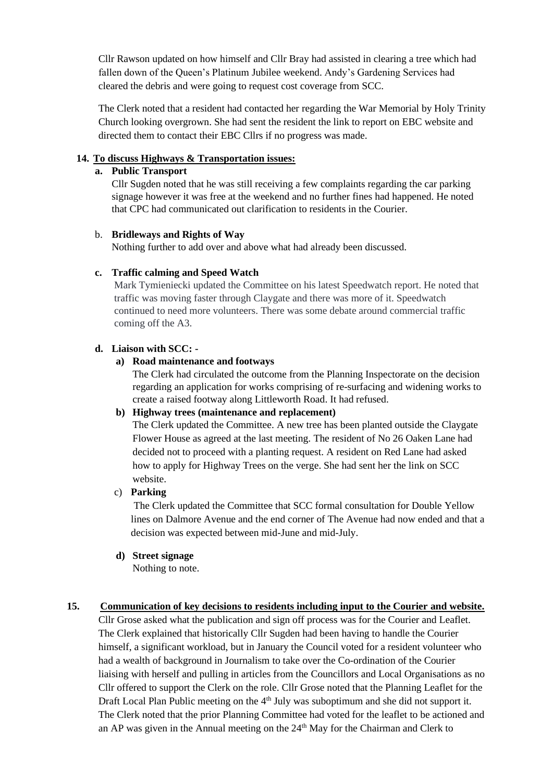Cllr Rawson updated on how himself and Cllr Bray had assisted in clearing a tree which had fallen down of the Queen's Platinum Jubilee weekend. Andy's Gardening Services had cleared the debris and were going to request cost coverage from SCC.

The Clerk noted that a resident had contacted her regarding the War Memorial by Holy Trinity Church looking overgrown. She had sent the resident the link to report on EBC website and directed them to contact their EBC Cllrs if no progress was made.

#### **14. To discuss Highways & Transportation issues:**

#### **a. Public Transport**

Cllr Sugden noted that he was still receiving a few complaints regarding the car parking signage however it was free at the weekend and no further fines had happened. He noted that CPC had communicated out clarification to residents in the Courier.

#### b. **Bridleways and Rights of Way**

Nothing further to add over and above what had already been discussed.

## **c. Traffic calming and Speed Watch**

Mark Tymieniecki updated the Committee on his latest Speedwatch report. He noted that traffic was moving faster through Claygate and there was more of it. Speedwatch continued to need more volunteers. There was some debate around commercial traffic coming off the A3.

#### **d. Liaison with SCC: -**

#### **a) Road maintenance and footways**

The Clerk had circulated the outcome from the Planning Inspectorate on the decision regarding an application for works comprising of re-surfacing and widening works to create a raised footway along Littleworth Road. It had refused.

## **b) Highway trees (maintenance and replacement)**

The Clerk updated the Committee. A new tree has been planted outside the Claygate Flower House as agreed at the last meeting. The resident of No 26 Oaken Lane had decided not to proceed with a planting request. A resident on Red Lane had asked how to apply for Highway Trees on the verge. She had sent her the link on SCC website.

## c) **Parking**

The Clerk updated the Committee that SCC formal consultation for Double Yellow lines on Dalmore Avenue and the end corner of The Avenue had now ended and that a decision was expected between mid-June and mid-July.

## **d) Street signage**

Nothing to note.

#### **15. Communication of key decisions to residents including input to the Courier and website.**

Cllr Grose asked what the publication and sign off process was for the Courier and Leaflet. The Clerk explained that historically Cllr Sugden had been having to handle the Courier himself, a significant workload, but in January the Council voted for a resident volunteer who had a wealth of background in Journalism to take over the Co-ordination of the Courier liaising with herself and pulling in articles from the Councillors and Local Organisations as no Cllr offered to support the Clerk on the role. Cllr Grose noted that the Planning Leaflet for the Draft Local Plan Public meeting on the 4<sup>th</sup> July was suboptimum and she did not support it. The Clerk noted that the prior Planning Committee had voted for the leaflet to be actioned and an AP was given in the Annual meeting on the 24<sup>th</sup> May for the Chairman and Clerk to